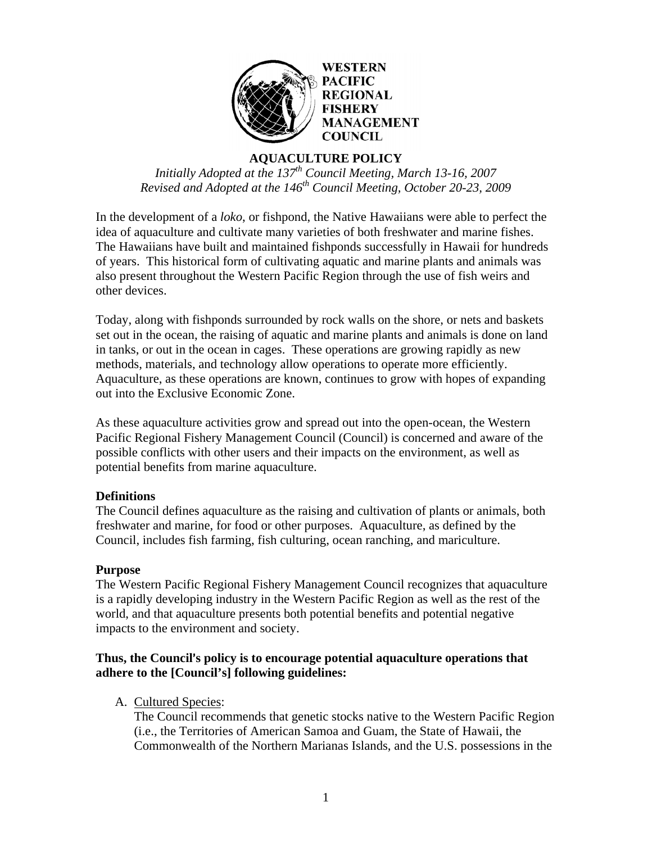

# **AQUACULTURE POLICY**

*Initially Adopted at the 137<sup>th</sup> Council Meeting, March 13-16, 2007 Revised and Adopted at the 146th Council Meeting, October 20-23, 2009* 

In the development of a *loko*, or fishpond, the Native Hawaiians were able to perfect the idea of aquaculture and cultivate many varieties of both freshwater and marine fishes. The Hawaiians have built and maintained fishponds successfully in Hawaii for hundreds of years. This historical form of cultivating aquatic and marine plants and animals was also present throughout the Western Pacific Region through the use of fish weirs and other devices.

Today, along with fishponds surrounded by rock walls on the shore, or nets and baskets set out in the ocean, the raising of aquatic and marine plants and animals is done on land in tanks, or out in the ocean in cages. These operations are growing rapidly as new methods, materials, and technology allow operations to operate more efficiently. Aquaculture, as these operations are known, continues to grow with hopes of expanding out into the Exclusive Economic Zone.

As these aquaculture activities grow and spread out into the open-ocean, the Western Pacific Regional Fishery Management Council (Council) is concerned and aware of the possible conflicts with other users and their impacts on the environment, as well as potential benefits from marine aquaculture.

# **Definitions**

The Council defines aquaculture as the raising and cultivation of plants or animals, both freshwater and marine, for food or other purposes. Aquaculture, as defined by the Council, includes fish farming, fish culturing, ocean ranching, and mariculture.

# **Purpose**

The Western Pacific Regional Fishery Management Council recognizes that aquaculture is a rapidly developing industry in the Western Pacific Region as well as the rest of the world, and that aquaculture presents both potential benefits and potential negative impacts to the environment and society.

# **Thus, the Council's policy is to encourage potential aquaculture operations that adhere to the [Council's] following guidelines:**

A. Cultured Species:

The Council recommends that genetic stocks native to the Western Pacific Region (i.e., the Territories of American Samoa and Guam, the State of Hawaii, the Commonwealth of the Northern Marianas Islands, and the U.S. possessions in the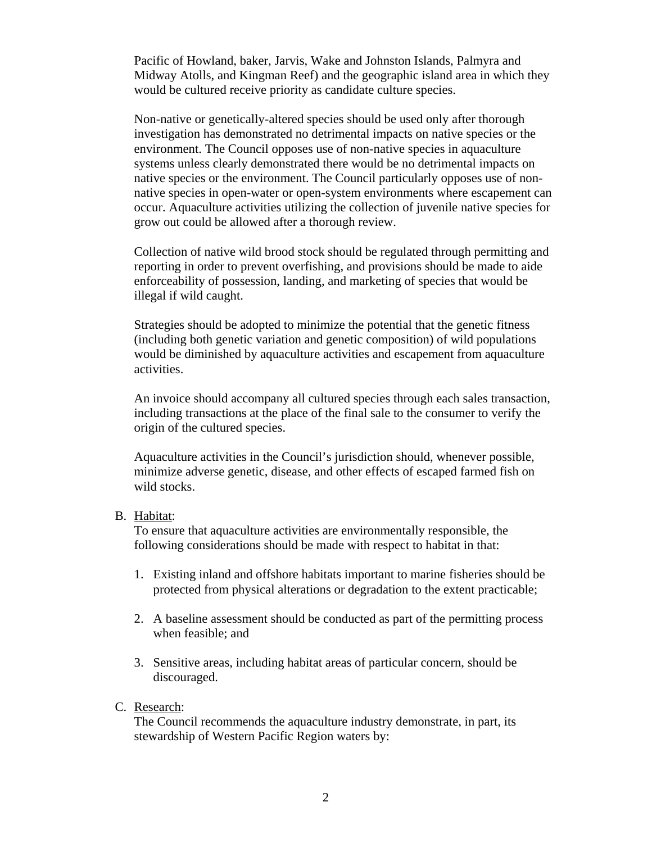Pacific of Howland, baker, Jarvis, Wake and Johnston Islands, Palmyra and Midway Atolls, and Kingman Reef) and the geographic island area in which they would be cultured receive priority as candidate culture species.

Non-native or genetically-altered species should be used only after thorough investigation has demonstrated no detrimental impacts on native species or the environment. The Council opposes use of non-native species in aquaculture systems unless clearly demonstrated there would be no detrimental impacts on native species or the environment. The Council particularly opposes use of nonnative species in open-water or open-system environments where escapement can occur. Aquaculture activities utilizing the collection of juvenile native species for grow out could be allowed after a thorough review.

Collection of native wild brood stock should be regulated through permitting and reporting in order to prevent overfishing, and provisions should be made to aide enforceability of possession, landing, and marketing of species that would be illegal if wild caught.

Strategies should be adopted to minimize the potential that the genetic fitness (including both genetic variation and genetic composition) of wild populations would be diminished by aquaculture activities and escapement from aquaculture activities.

An invoice should accompany all cultured species through each sales transaction, including transactions at the place of the final sale to the consumer to verify the origin of the cultured species.

Aquaculture activities in the Council's jurisdiction should, whenever possible, minimize adverse genetic, disease, and other effects of escaped farmed fish on wild stocks.

#### B. Habitat:

To ensure that aquaculture activities are environmentally responsible, the following considerations should be made with respect to habitat in that:

- 1. Existing inland and offshore habitats important to marine fisheries should be protected from physical alterations or degradation to the extent practicable;
- 2. A baseline assessment should be conducted as part of the permitting process when feasible; and
- 3. Sensitive areas, including habitat areas of particular concern, should be discouraged.
- C. Research:

The Council recommends the aquaculture industry demonstrate, in part, its stewardship of Western Pacific Region waters by: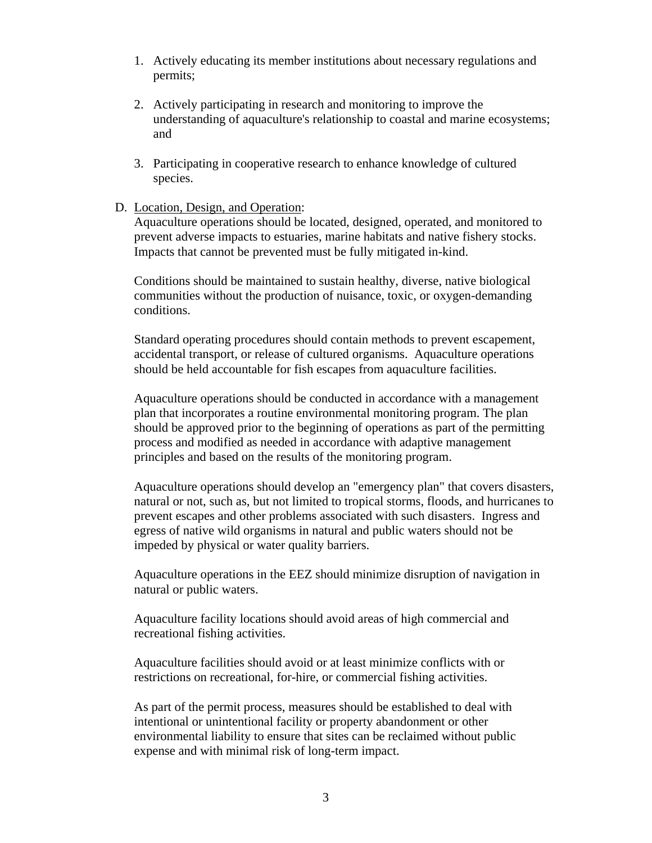- 1. Actively educating its member institutions about necessary regulations and permits;
- 2. Actively participating in research and monitoring to improve the understanding of aquaculture's relationship to coastal and marine ecosystems; and
- 3. Participating in cooperative research to enhance knowledge of cultured species.
- D. Location, Design, and Operation:

Aquaculture operations should be located, designed, operated, and monitored to prevent adverse impacts to estuaries, marine habitats and native fishery stocks. Impacts that cannot be prevented must be fully mitigated in-kind.

Conditions should be maintained to sustain healthy, diverse, native biological communities without the production of nuisance, toxic, or oxygen-demanding conditions.

Standard operating procedures should contain methods to prevent escapement, accidental transport, or release of cultured organisms. Aquaculture operations should be held accountable for fish escapes from aquaculture facilities.

Aquaculture operations should be conducted in accordance with a management plan that incorporates a routine environmental monitoring program. The plan should be approved prior to the beginning of operations as part of the permitting process and modified as needed in accordance with adaptive management principles and based on the results of the monitoring program.

Aquaculture operations should develop an "emergency plan" that covers disasters, natural or not, such as, but not limited to tropical storms, floods, and hurricanes to prevent escapes and other problems associated with such disasters. Ingress and egress of native wild organisms in natural and public waters should not be impeded by physical or water quality barriers.

Aquaculture operations in the EEZ should minimize disruption of navigation in natural or public waters.

Aquaculture facility locations should avoid areas of high commercial and recreational fishing activities.

Aquaculture facilities should avoid or at least minimize conflicts with or restrictions on recreational, for-hire, or commercial fishing activities.

As part of the permit process, measures should be established to deal with intentional or unintentional facility or property abandonment or other environmental liability to ensure that sites can be reclaimed without public expense and with minimal risk of long-term impact.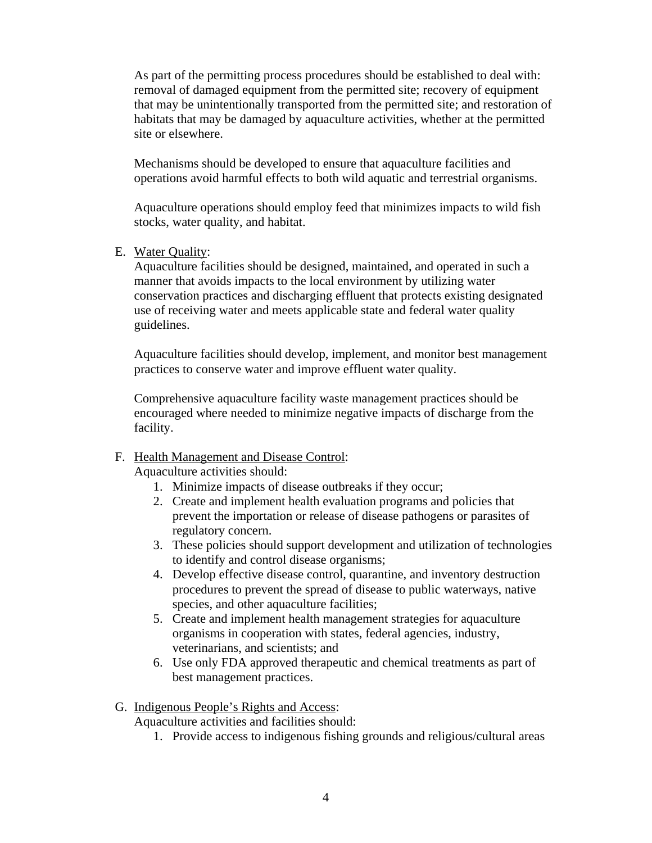As part of the permitting process procedures should be established to deal with: removal of damaged equipment from the permitted site; recovery of equipment that may be unintentionally transported from the permitted site; and restoration of habitats that may be damaged by aquaculture activities, whether at the permitted site or elsewhere.

Mechanisms should be developed to ensure that aquaculture facilities and operations avoid harmful effects to both wild aquatic and terrestrial organisms.

Aquaculture operations should employ feed that minimizes impacts to wild fish stocks, water quality, and habitat.

E. Water Quality:

Aquaculture facilities should be designed, maintained, and operated in such a manner that avoids impacts to the local environment by utilizing water conservation practices and discharging effluent that protects existing designated use of receiving water and meets applicable state and federal water quality guidelines.

Aquaculture facilities should develop, implement, and monitor best management practices to conserve water and improve effluent water quality.

Comprehensive aquaculture facility waste management practices should be encouraged where needed to minimize negative impacts of discharge from the facility.

# F. Health Management and Disease Control:

Aquaculture activities should:

- 1. Minimize impacts of disease outbreaks if they occur;
- 2. Create and implement health evaluation programs and policies that prevent the importation or release of disease pathogens or parasites of regulatory concern.
- 3. These policies should support development and utilization of technologies to identify and control disease organisms;
- 4. Develop effective disease control, quarantine, and inventory destruction procedures to prevent the spread of disease to public waterways, native species, and other aquaculture facilities;
- 5. Create and implement health management strategies for aquaculture organisms in cooperation with states, federal agencies, industry, veterinarians, and scientists; and
- 6. Use only FDA approved therapeutic and chemical treatments as part of best management practices.

# G. Indigenous People's Rights and Access:

Aquaculture activities and facilities should:

1. Provide access to indigenous fishing grounds and religious/cultural areas